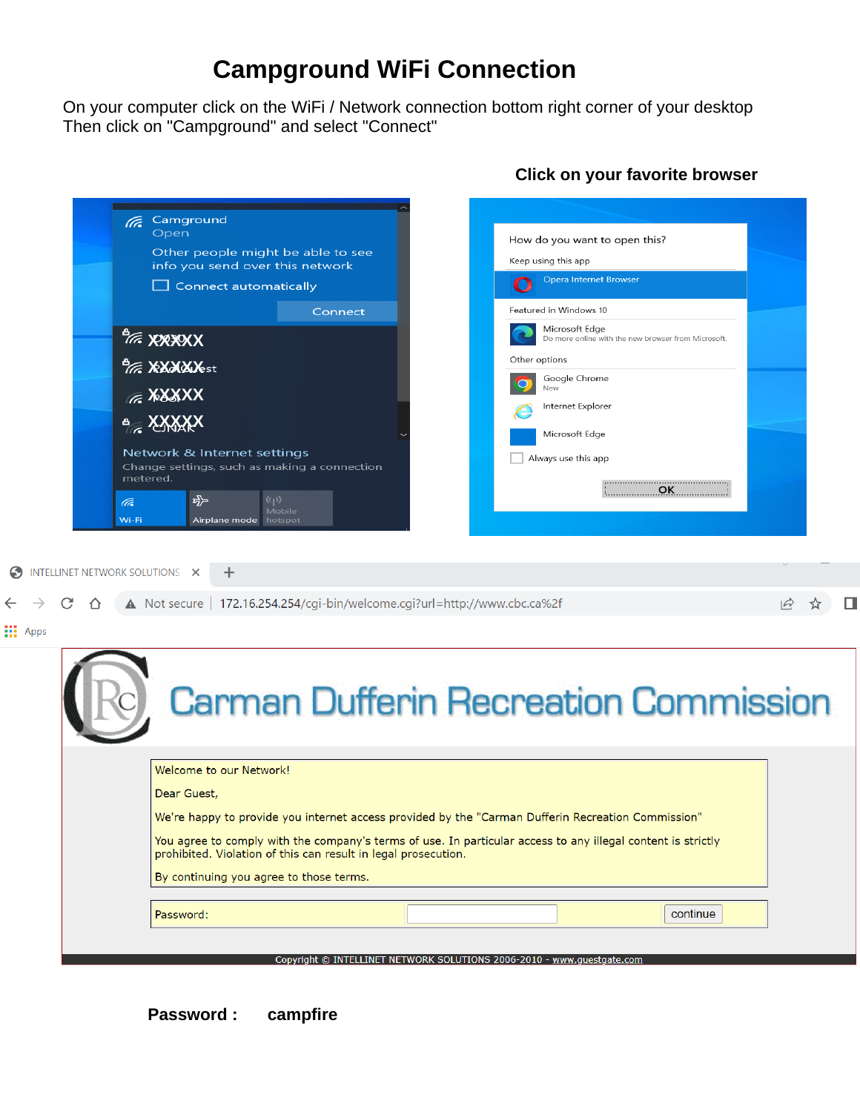# **Campground WiFi Connection**

On your computer click on the WiFi / Network connection bottom right corner of your desktop Then click on "Campground" and select "Connect"

|                      | <b>E</b> Camground<br>Open                                                                                                                                                     | How do you want to open this?                                         |                                   |
|----------------------|--------------------------------------------------------------------------------------------------------------------------------------------------------------------------------|-----------------------------------------------------------------------|-----------------------------------|
|                      | Other people might be able to see<br>info you send over this network                                                                                                           | Keep using this app                                                   |                                   |
|                      | $\Box$ Connect automatically                                                                                                                                                   | <b>Opera Internet Browser</b><br>O                                    |                                   |
|                      | Connect                                                                                                                                                                        | Featured in Windows 10                                                |                                   |
|                      | <b>PIE. XXXXXX</b>                                                                                                                                                             | Microsoft Edge<br>Do more online with the new browser from Microsoft. |                                   |
|                      | <b><i>Tre</i></b> XXXXX <sub>est</sub>                                                                                                                                         | Other options                                                         |                                   |
|                      | <b>EXXXXX</b>                                                                                                                                                                  | Google Chrome<br>New                                                  |                                   |
|                      | $A_{\mathcal{C}}$ XXXXX                                                                                                                                                        | Internet Explorer                                                     |                                   |
|                      |                                                                                                                                                                                | Microsoft Edge                                                        |                                   |
|                      | Network & Internet settings<br>Change settings, such as making a connection                                                                                                    | Always use this app                                                   |                                   |
|                      | metered.<br>$E_{\rm Pl}^{\rm La}$<br>$(\eta)$                                                                                                                                  | OK                                                                    |                                   |
|                      | (Ta<br>Mobile<br>Wi-Fi<br>Airplane mode hotspot                                                                                                                                |                                                                       |                                   |
|                      |                                                                                                                                                                                |                                                                       |                                   |
|                      |                                                                                                                                                                                |                                                                       |                                   |
| $\bullet$            | INTELLINET NETWORK SOLUTIONS X<br>÷                                                                                                                                            |                                                                       |                                   |
|                      |                                                                                                                                                                                |                                                                       |                                   |
| C<br>$\bigcap$       | ▲ Not secure   172.16.254.254/cgi-bin/welcome.cgi?url=http://www.cbc.ca%2f                                                                                                     |                                                                       | $\overrightarrow{A}$<br>$\approx$ |
|                      |                                                                                                                                                                                |                                                                       |                                   |
|                      |                                                                                                                                                                                | <b>Carman Dufferin Recreation Commission</b>                          |                                   |
|                      | Welcome to our Network!                                                                                                                                                        |                                                                       |                                   |
|                      | Dear Guest,                                                                                                                                                                    |                                                                       |                                   |
|                      | We're happy to provide you internet access provided by the "Carman Dufferin Recreation Commission"                                                                             |                                                                       |                                   |
|                      | You agree to comply with the company's terms of use. In particular access to any illegal content is strictly<br>prohibited. Violation of this can result in legal prosecution. |                                                                       |                                   |
|                      | By continuing you agree to those terms.                                                                                                                                        |                                                                       |                                   |
| $\frac{11}{11}$ Apps | Password:                                                                                                                                                                      | continue                                                              |                                   |

## **Click on your favorite browser**